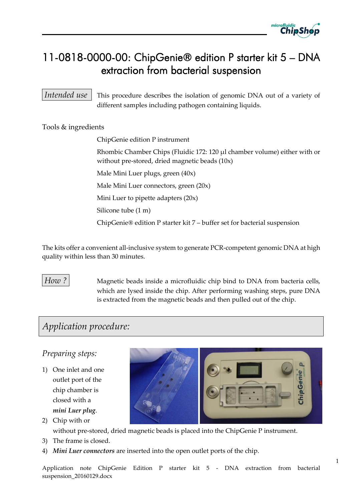

# 11-0818-0000-00: ChipGenie® edition P starter kit 5 – DNA extraction from bacterial suspension

*Intended use* This procedure describes the isolation of genomic DNA out of a variety of different samples including pathogen containing liquids.

Tools & ingredients

ChipGenie edition P instrument

Rhombic Chamber Chips (Fluidic 172: 120 µl chamber volume) either with or without pre-stored, dried magnetic beads (10x)

Male Mini Luer plugs, green (40x)

Male Mini Luer connectors, green (20x)

Mini Luer to pipette adapters (20x)

Silicone tube (1 m)

ChipGenie® edition P starter kit 7 – buffer set for bacterial suspension

The kits offer a convenient all-inclusive system to generate PCR-competent genomic DNA at high quality within less than 30 minutes.

*How* ? Magnetic beads inside a microfluidic chip bind to DNA from bacteria cells, which are lysed inside the chip. After performing washing steps, pure DNA is extracted from the magnetic beads and then pulled out of the chip.

## *Application procedure:*

#### *Preparing steps:*

- 1) One inlet and one outlet port of the chip chamber is closed with a *mini Luer plug*.
- 2) Chip with or



without pre-stored, dried magnetic beads is placed into the ChipGenie P instrument.

- 3) The frame is closed.
- 4) *Mini Luer connectors* are inserted into the open outlet ports of the chip.

Application note ChipGenie Edition P starter kit 5 - DNA extraction from bacterial suspension\_20160129.docx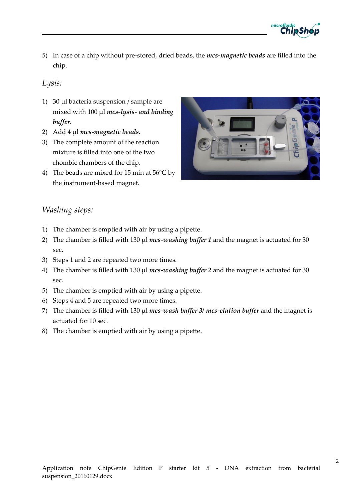

5) In case of a chip without pre-stored, dried beads, the *mcs-magnetic beads* are filled into the chip.

#### *Lysis:*

- 1) 30 µl bacteria suspension / sample are mixed with 100 µl *mcs-lysis- and binding buffer*.
- 2) Add 4 µl *mcs-magnetic beads.*
- 3) The complete amount of the reaction mixture is filled into one of the two rhombic chambers of the chip.
- 4) The beads are mixed for 15 min at 56°C by the instrument-based magnet.



#### *Washing steps:*

- 1) The chamber is emptied with air by using a pipette.
- 2) The chamber is filled with 130 µl *mcs-washing buffer* 1 and the magnet is actuated for 30 sec.
- 3) Steps 1 and 2 are repeated two more times.
- 4) The chamber is filled with 130 µl *mcs-washing buffer 2* and the magnet is actuated for 30 sec.
- 5) The chamber is emptied with air by using a pipette.
- 6) Steps 4 and 5 are repeated two more times.
- 7) The chamber is filled with 130 µl *mcs-wash buffer 3/ mcs-elution buffer* and the magnet is actuated for 10 sec.
- 8) The chamber is emptied with air by using a pipette.